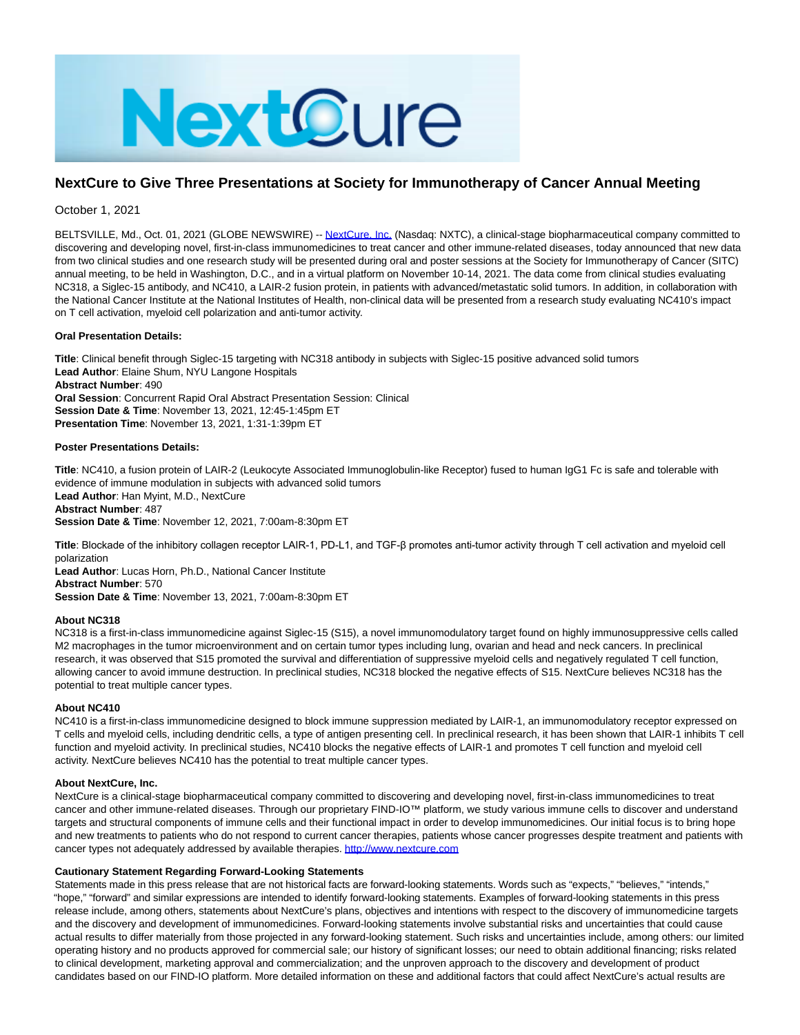

# **NextCure to Give Three Presentations at Society for Immunotherapy of Cancer Annual Meeting**

October 1, 2021

BELTSVILLE, Md., Oct. 01, 2021 (GLOBE NEWSWIRE) -[- NextCure, Inc. \(](https://www.globenewswire.com/Tracker?data=ZgBKIpnXEoUnN7BRgVjmT47AFtXrlg5uQCzvBtlQEq73Pwh6asq_sNXcojVMJ0ciO6Ck06A8jXLDpw0vl827iA==)Nasdaq: NXTC), a clinical-stage biopharmaceutical company committed to discovering and developing novel, first-in-class immunomedicines to treat cancer and other immune-related diseases, today announced that new data from two clinical studies and one research study will be presented during oral and poster sessions at the Society for Immunotherapy of Cancer (SITC) annual meeting, to be held in Washington, D.C., and in a virtual platform on November 10-14, 2021. The data come from clinical studies evaluating NC318, a Siglec-15 antibody, and NC410, a LAIR-2 fusion protein, in patients with advanced/metastatic solid tumors. In addition, in collaboration with the National Cancer Institute at the National Institutes of Health, non-clinical data will be presented from a research study evaluating NC410's impact on T cell activation, myeloid cell polarization and anti-tumor activity.

## **Oral Presentation Details:**

**Title**: Clinical benefit through Siglec-15 targeting with NC318 antibody in subjects with Siglec-15 positive advanced solid tumors **Lead Author**: Elaine Shum, NYU Langone Hospitals **Abstract Number**: 490 **Oral Session**: Concurrent Rapid Oral Abstract Presentation Session: Clinical **Session Date & Time**: November 13, 2021, 12:45-1:45pm ET **Presentation Time**: November 13, 2021, 1:31-1:39pm ET

## **Poster Presentations Details:**

**Title**: NC410, a fusion protein of LAIR-2 (Leukocyte Associated Immunoglobulin-like Receptor) fused to human IgG1 Fc is safe and tolerable with evidence of immune modulation in subjects with advanced solid tumors **Lead Author**: Han Myint, M.D., NextCure **Abstract Number**: 487 **Session Date & Time**: November 12, 2021, 7:00am-8:30pm ET

**Title**: Blockade of the inhibitory collagen receptor LAIR-1, PD-L1, and TGF-β promotes anti-tumor activity through T cell activation and myeloid cell polarization

**Lead Author**: Lucas Horn, Ph.D., National Cancer Institute **Abstract Number**: 570 **Session Date & Time**: November 13, 2021, 7:00am-8:30pm ET

## **About NC318**

NC318 is a first-in-class immunomedicine against Siglec-15 (S15), a novel immunomodulatory target found on highly immunosuppressive cells called M2 macrophages in the tumor microenvironment and on certain tumor types including lung, ovarian and head and neck cancers. In preclinical research, it was observed that S15 promoted the survival and differentiation of suppressive myeloid cells and negatively regulated T cell function, allowing cancer to avoid immune destruction. In preclinical studies, NC318 blocked the negative effects of S15. NextCure believes NC318 has the potential to treat multiple cancer types.

### **About NC410**

NC410 is a first-in-class immunomedicine designed to block immune suppression mediated by LAIR-1, an immunomodulatory receptor expressed on T cells and myeloid cells, including dendritic cells, a type of antigen presenting cell. In preclinical research, it has been shown that LAIR-1 inhibits T cell function and myeloid activity. In preclinical studies, NC410 blocks the negative effects of LAIR-1 and promotes T cell function and myeloid cell activity. NextCure believes NC410 has the potential to treat multiple cancer types.

#### **About NextCure, Inc.**

NextCure is a clinical-stage biopharmaceutical company committed to discovering and developing novel, first-in-class immunomedicines to treat cancer and other immune-related diseases. Through our proprietary FIND-IO™ platform, we study various immune cells to discover and understand targets and structural components of immune cells and their functional impact in order to develop immunomedicines. Our initial focus is to bring hope and new treatments to patients who do not respond to current cancer therapies, patients whose cancer progresses despite treatment and patients with cancer types not adequately addressed by available therapies. [http://www.nextcure.com](https://www.globenewswire.com/Tracker?data=6qQuGLc6wFsLPz-Pp0C-y_xGFRYQIeDpahZ18REQiJqmAUiPreCaWfQoPsPLcVjF4LfDNCyWXsPJUySTTOC49QyStJ1e9JqJyAJrNie1CzM=)

## **Cautionary Statement Regarding Forward-Looking Statements**

Statements made in this press release that are not historical facts are forward-looking statements. Words such as "expects," "believes," "intends," "hope," "forward" and similar expressions are intended to identify forward-looking statements. Examples of forward-looking statements in this press release include, among others, statements about NextCure's plans, objectives and intentions with respect to the discovery of immunomedicine targets and the discovery and development of immunomedicines. Forward-looking statements involve substantial risks and uncertainties that could cause actual results to differ materially from those projected in any forward-looking statement. Such risks and uncertainties include, among others: our limited operating history and no products approved for commercial sale; our history of significant losses; our need to obtain additional financing; risks related to clinical development, marketing approval and commercialization; and the unproven approach to the discovery and development of product candidates based on our FIND-IO platform. More detailed information on these and additional factors that could affect NextCure's actual results are